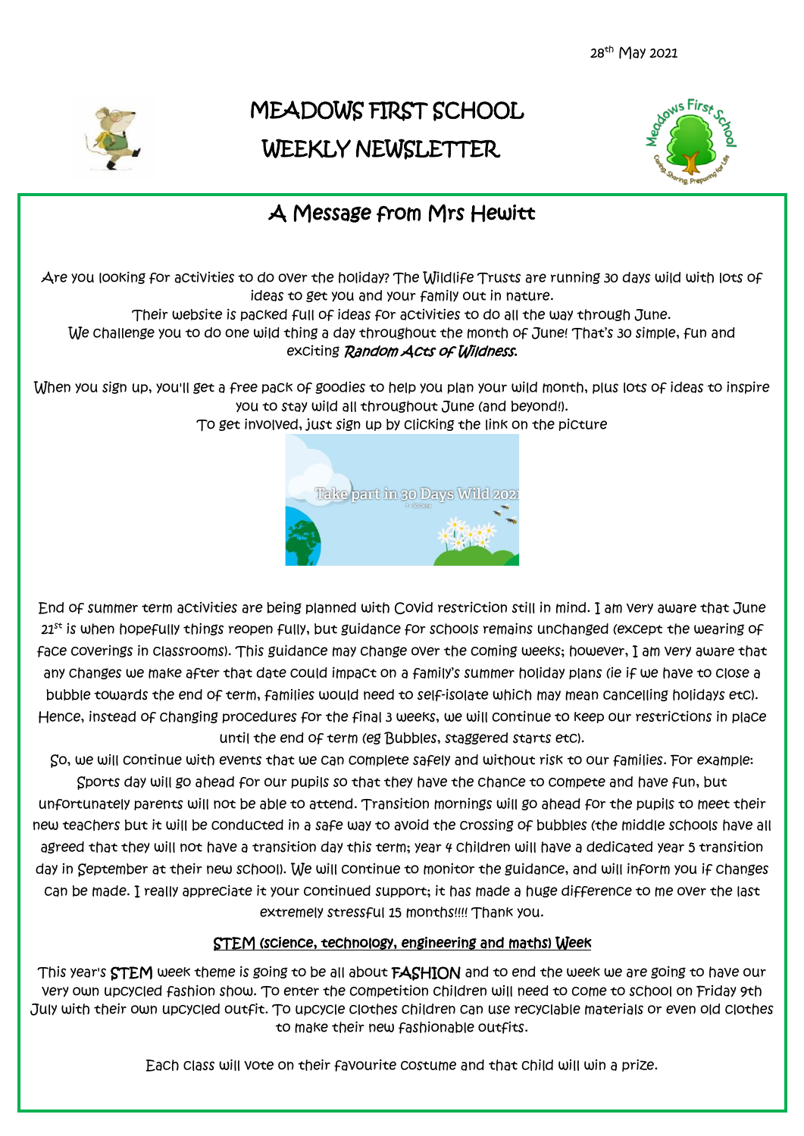28<sup>th</sup> May 2021



# MEADOWS FIRST SCHOOL WEEKLY NEWSLETTER



## A Message from Mrs Hewitt

Are you looking for activities to do over the holiday? The Wildlife Trusts are running 30 days wild with lots of ideas to get you and your family out in nature.

Their website is packed full of ideas for activities to do all the way through June.

We challenge you to do one wild thing a day throughout the month of June! That's 30 simple, fun and exciting Random Acts of Wildness.

When you sign up, you'll get a free pack of goodies to help you plan your wild month, plus lots of ideas to inspire you to stay wild all throughout June (and beyond!).

To get involved, just sign up by clicking the link on the picture



End of summer term activities are being planned with Covid restriction still in mind. I am very aware that June  $21<sup>st</sup>$  is when hopefully things reopen fully, but guidance for schools remains unchanged (except the wearing of face coverings in classrooms). This guidance may change over the coming weeks; however, I am very aware that any changes we make after that date could impact on a family's summer holiday plans (ie if we have to close a bubble towards the end of term, families would need to self-isolate which may mean cancelling holidays etc). Hence, instead of changing procedures for the final 3 weeks, we will continue to keep our restrictions in place until the end of term (eg Bubbles, staggered starts etc).

So, we will continue with events that we can complete safely and without risk to our families. For example: Sports day will go ahead for our pupils so that they have the chance to compete and have fun, but unfortunately parents will not be able to attend. Transition mornings will go ahead for the pupils to meet their new teachers but it will be conducted in a safe way to avoid the crossing of bubbles (the middle schools have all agreed that they will not have a transition day this term; year 4 children will have a dedicated year 5 transition day in September at their new school). We will continue to monitor the guidance, and will inform you if changes can be made. I really appreciate it your continued support; it has made a huge difference to me over the last extremely stressful 15 months!!!! Thank you.

### STEM (science, technology, engineering and maths) Week

This year's STEM week theme is going to be all about FASHION and to end the week we are going to have our very own upcycled fashion show. To enter the competition children will need to come to school on Friday 9th July with their own upcycled outfit. To upcycle clothes children can use recyclable materials or even old clothes to make their new fashionable outfits.

Each class will vote on their favourite costume and that child will win a prize.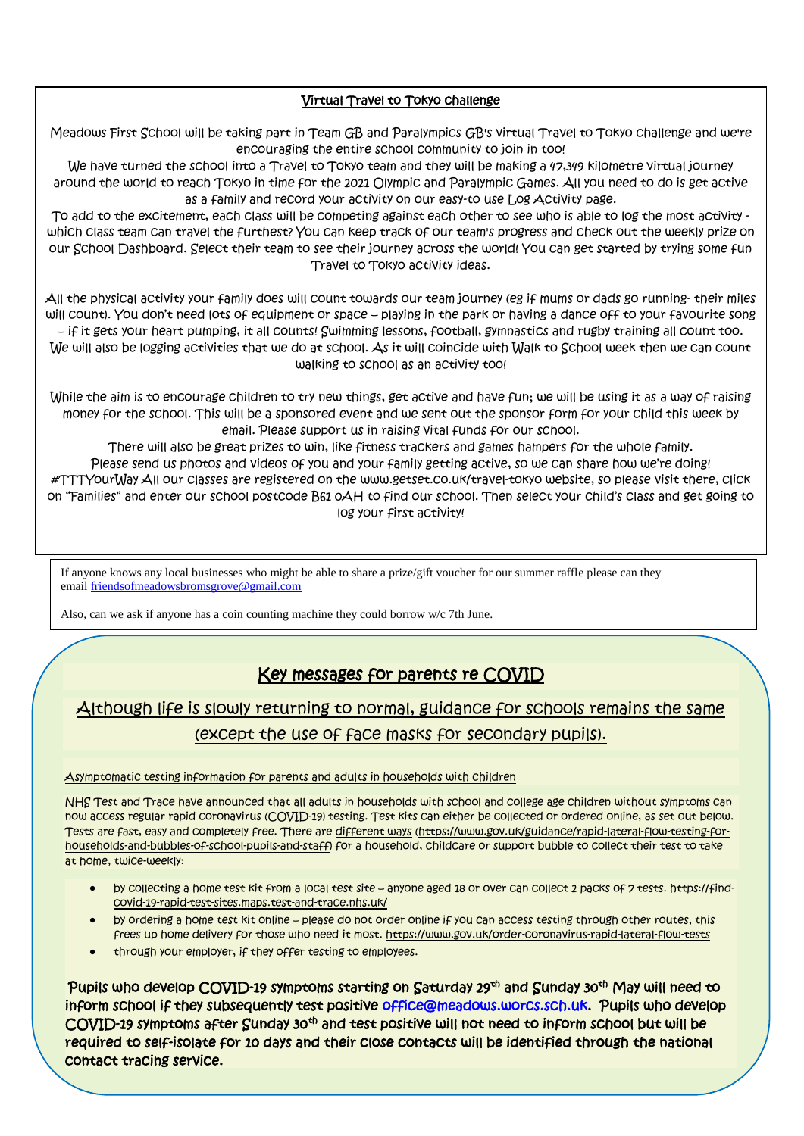#### Virtual Travel to Tokyo challenge

Meadows First School will be taking part in Team GB and Paralympics GB's virtual Travel to Tokyo challenge and we're encouraging the entire school community to join in too!

We have turned the school into a Travel to Tokyo team and they will be making a 47,349 kilometre virtual journey around the world to reach Tokyo in time for the 2021 Olympic and Paralympic Games. All you need to do is get active as a family and record your activity on our easy-to use Log Activity page.

To add to the excitement, each class will be competing against each other to see who is able to log the most activity which class team can travel the furthest? You can keep track of our team's progress and check out the weekly prize on our School Dashboard. Select their team to see their journey across the world! You can get started by trying some fun Travel to Tokyo activity ideas.

All the physical activity your family does will count towards our team journey (eg if mums or dads go running- their miles will count). You don't need lots of equipment or space – playing in the park or having a dance off to your favourite song – if it gets your heart pumping, it all counts! Swimming lessons, football, gymnastics and rugby training all count too. We will also be logging activities that we do at school. As it will coincide with Walk to School week then we can count walking to school as an activity too!

While the aim is to encourage children to try new things, get active and have fun; we will be using it as a way of raising money for the school. This will be a sponsored event and we sent out the sponsor form for your child this week by email. Please support us in raising vital funds for our school.

There will also be great prizes to win, like fitness trackers and games hampers for the whole family. Please send us photos and videos of you and your family getting active, so we can share how we're doing! #TTTYourWay All our classes are registered on the www.getset.co.uk/travel-tokyo website, so please visit there, click on "Families" and enter our school postcode B61 0AH to find our school. Then select your child's class and get going to log your first activity!

If anyone knows any local businesses who might be able to share a prize/gift voucher for our summer raffle please can they email [friendsofmeadowsbromsgrove@gmail.com](mailto:friendsofmeadowsbromsgrove@gmail.com)

Also, can we ask if anyone has a coin counting machine they could borrow w/c 7th June.

### Key messages for parents re COVID

## Although life is slowly returning to normal, guidance for schools remains the same (except the use of face masks for secondary pupils).

#### Asymptomatic testing information for parents and adults in households with children

NHS Test and Trace have announced that all adults in households with school and college age children without symptoms can now access regular rapid coronavirus (COVID-19) testing. Test kits can either be collected or ordered online, as set out below. Tests are fast, easy and completely free. There are [different ways](https://www.gov.uk/guidance/rapid-lateral-flow-testing-for-households-and-bubbles-of-school-pupils-and-staff) [\(https://www.gov.uk/guidance/rapid-lateral-flow-testing-for](https://www.gov.uk/guidance/rapid-lateral-flow-testing-for-households-and-bubbles-of-school-pupils-and-staff)[households-and-bubbles-of-school-pupils-and-staff\)](https://www.gov.uk/guidance/rapid-lateral-flow-testing-for-households-and-bubbles-of-school-pupils-and-staff) for a household, childcare or support bubble to collect their test to take at home, twice-weekly:

- by collecting a home test kit from a local test site anyone aged 18 or over can collect 2 packs of 7 tests. [https://find](https://find-covid-19-rapid-test-sites.maps.test-and-trace.nhs.uk/)[covid-19-rapid-test-sites.maps.test-and-trace.nhs.uk/](https://find-covid-19-rapid-test-sites.maps.test-and-trace.nhs.uk/)
- by ordering a home test kit online please do not order online if you can access testing through other routes, this frees up home delivery for those who need it most. <https://www.gov.uk/order-coronavirus-rapid-lateral-flow-tests>
- through your employer, if they offer testing to employees.

Pupils who develop COVID-19 symptoms starting on Saturday 29<sup>th</sup> and Sunday 30<sup>th</sup> May will need <del>t</del>o inform school if they subsequently test positive [office@meadows.worcs.sch.uk.](mailto:office@meadows.worcs.sch.uk) Pupils who develop COVID-19 symptoms after Sunday 30<sup>th</sup> and test positive will not need to inform school but will be required to self-isolate for 10 days and their close contacts will be identified through the national contact tracing service.